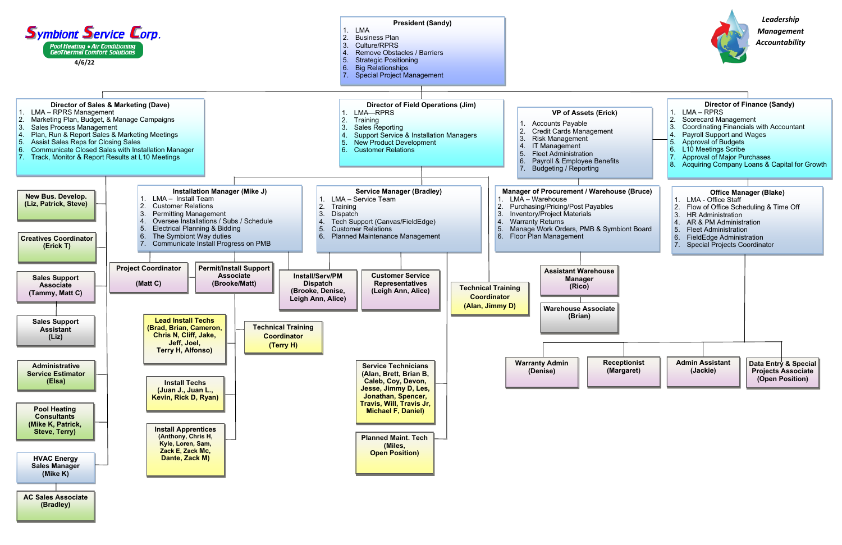*Leadership*



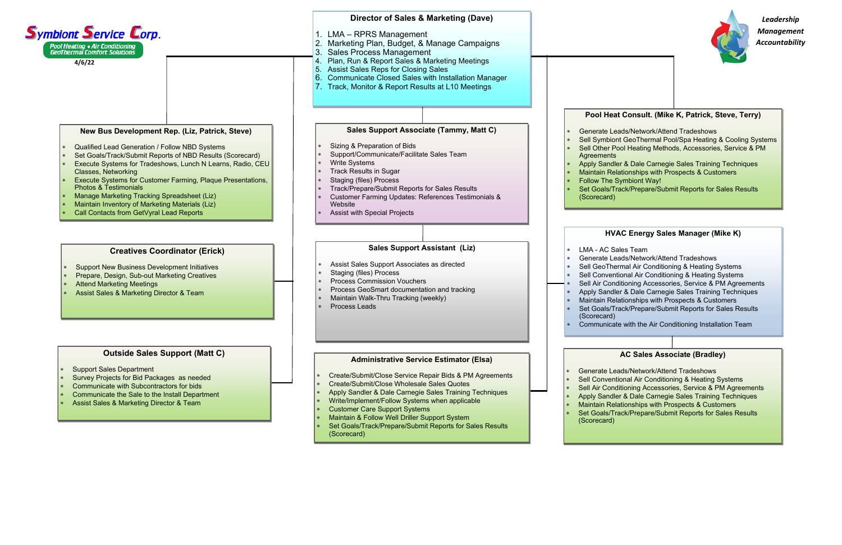*Leadership Management Accountability*

## **AC Sales Associate (Bradley)**

 Generate Leads/Network/Attend Tradeshows Sell Conventional Air Conditioning & Heating Systems Sell Air Conditioning Accessories, Service & PM Agreements Apply Sandler & Dale Carnegie Sales Training Techniques Maintain Relationships with Prospects & Customers

Set Goals/Track/Prepare/Submit Reports for Sales Results

## **HVAC Energy Sales Manager (Mike K)**

Generate Leads/Network/Attend Tradeshows

Sell GeoThermal Air Conditioning & Heating Systems

Sell Conventional Air Conditioning & Heating Systems

Sell Air Conditioning Accessories, Service & PM Agreements

Apply Sandler & Dale Carnegie Sales Training Techniques

Maintain Relationships with Prospects & Customers

Set Goals/Track/Prepare/Submit Reports for Sales Results

Communicate with the Air Conditioning Installation Team

# **Pool Heat Consult. (Mike K, Patrick, Steve, Terry)**

 Generate Leads/Network/Attend Tradeshows Sell Symbiont GeoThermal Pool/Spa Heating & Cooling Systems Sell Other Pool Heating Methods, Accessories, Service & PM





 Apply Sandler & Dale Carnegie Sales Training Techniques Maintain Relationships with Prospects & Customers

Set Goals/Track/Prepare/Submit Reports for Sales Results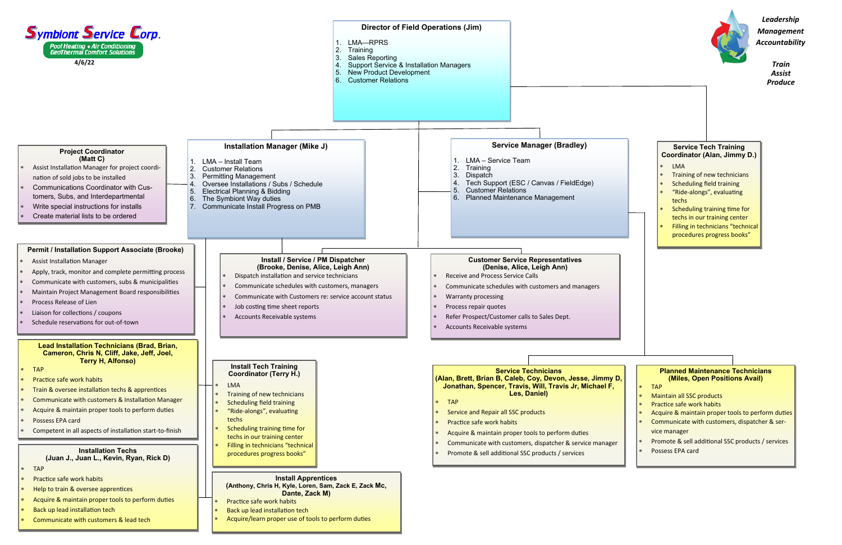



- \* TAP
- Maintain all SSC products
- Practice safe work habits
- Acquire & maintain proper tools to perform duties
- Communicate with customers, dispatcher & service manager
- Promote & sell additional SSC products / services
- Possess EPA card

*Train Assist Produce*

*Leadership Management Accountability*